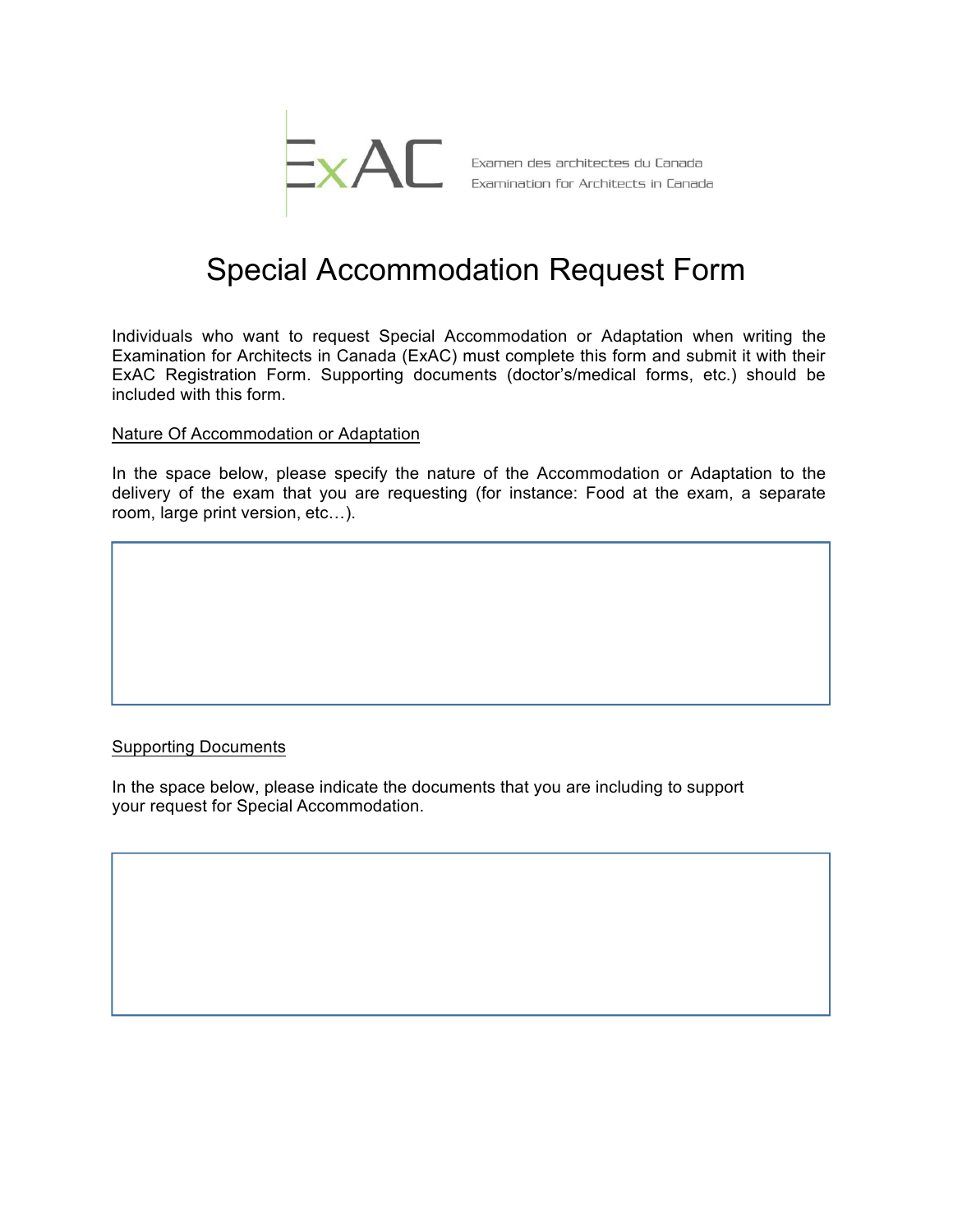

## Special Accommodation Request Form

Individuals who want to request Special Accommodation or Adaptation when writing the Examination for Architects in Canada (ExAC) must complete this form and submit it with their ExAC Registration Form. Supporting documents (doctor's/medical forms, etc.) should be included with this form.

## Nature Of Accommodation or Adaptation

In the space below, please specify the nature of the Accommodation or Adaptation to the delivery of the exam that you are requesting (for instance: Food at the exam, a separate room, large print version, etc…).

## Supporting Documents

In the space below, please indicate the documents that you are including to support your request for Special Accommodation.